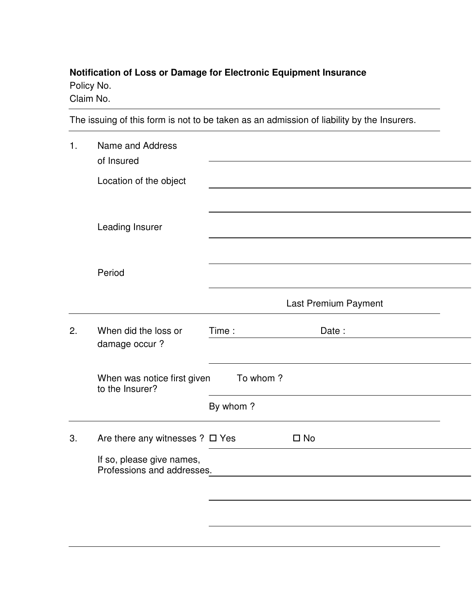## **Notification of Loss or Damage for Electronic Equipment Insurance** Policy No.

Claim No.

The issuing of this form is not to be taken as an admission of liability by the Insurers.

| 1. | Name and Address<br>of Insured                          |                      |
|----|---------------------------------------------------------|----------------------|
|    | Location of the object                                  |                      |
|    |                                                         |                      |
|    | Leading Insurer                                         |                      |
|    |                                                         |                      |
|    | Period                                                  |                      |
|    |                                                         | Last Premium Payment |
| 2. | When did the loss or<br>damage occur?                   | Date:<br>Time:       |
|    | To whom?<br>When was notice first given                 |                      |
|    |                                                         | By whom?             |
| 3. | Are there any witnesses $? \square$ Yes                 | $\square$ No         |
|    | If so, please give names,<br>Professions and addresses. |                      |
|    |                                                         |                      |
|    |                                                         |                      |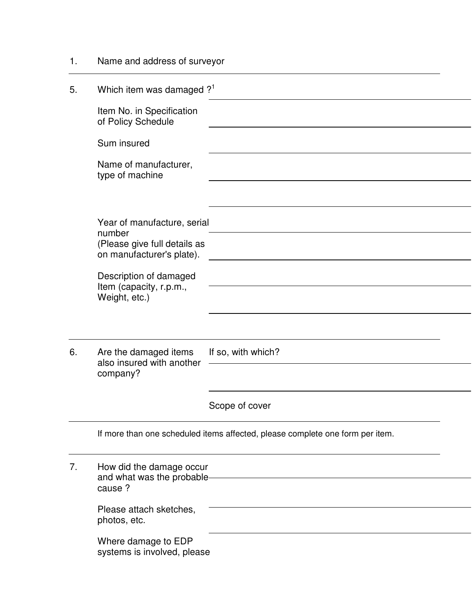| 1. | Name and address of surveyor                                                  |                    |  |
|----|-------------------------------------------------------------------------------|--------------------|--|
| 5. | Which item was damaged ? <sup>1</sup>                                         |                    |  |
|    | Item No. in Specification<br>of Policy Schedule                               |                    |  |
|    | Sum insured                                                                   |                    |  |
|    | Name of manufacturer,<br>type of machine                                      |                    |  |
|    |                                                                               |                    |  |
|    | Year of manufacture, serial<br>number                                         |                    |  |
|    | (Please give full details as<br>on manufacturer's plate).                     |                    |  |
|    | Description of damaged<br>Item (capacity, r.p.m.,                             |                    |  |
|    | Weight, etc.)                                                                 |                    |  |
|    |                                                                               |                    |  |
| 6. | Are the damaged items<br>also insured with another                            | If so, with which? |  |
|    | company?                                                                      |                    |  |
|    |                                                                               | Scope of cover     |  |
|    | If more than one scheduled items affected, please complete one form per item. |                    |  |
| 7. | How did the damage occur<br>and what was the probable-<br>cause ?             |                    |  |
|    | Please attach sketches,                                                       |                    |  |
|    | photos, etc.                                                                  |                    |  |
|    | Where damage to EDP<br>systems is involved, please                            |                    |  |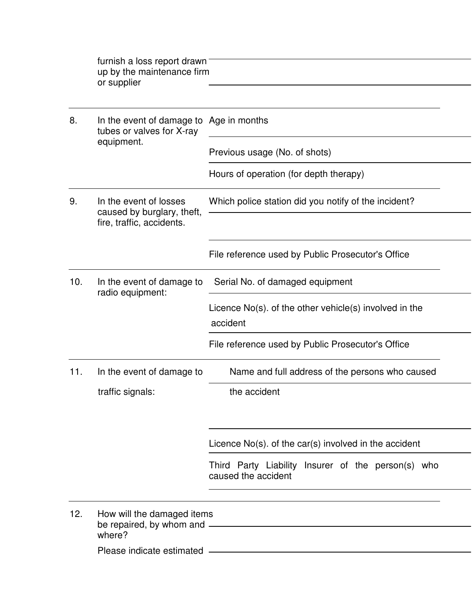| furnish a loss report drawn<br>up by the maintenance firm<br>or supplier           |                                                                           |  |
|------------------------------------------------------------------------------------|---------------------------------------------------------------------------|--|
| In the event of damage to Age in months<br>tubes or valves for X-ray<br>equipment. |                                                                           |  |
|                                                                                    | Previous usage (No. of shots)                                             |  |
|                                                                                    | Hours of operation (for depth therapy)                                    |  |
| In the event of losses<br>caused by burglary, theft,<br>fire, traffic, accidents.  | Which police station did you notify of the incident?                      |  |
|                                                                                    | File reference used by Public Prosecutor's Office                         |  |
| In the event of damage to<br>radio equipment:                                      | Serial No. of damaged equipment                                           |  |
|                                                                                    | Licence $No(s)$ . of the other vehicle $(s)$ involved in the<br>accident  |  |
|                                                                                    | File reference used by Public Prosecutor's Office                         |  |
| In the event of damage to                                                          | Name and full address of the persons who caused                           |  |
| traffic signals:                                                                   | the accident                                                              |  |
|                                                                                    | Licence $No(s)$ . of the car(s) involved in the accident                  |  |
|                                                                                    | Third Party Liability Insurer of the person(s) who<br>caused the accident |  |
| How will the damaged items<br>where?                                               |                                                                           |  |
|                                                                                    |                                                                           |  |